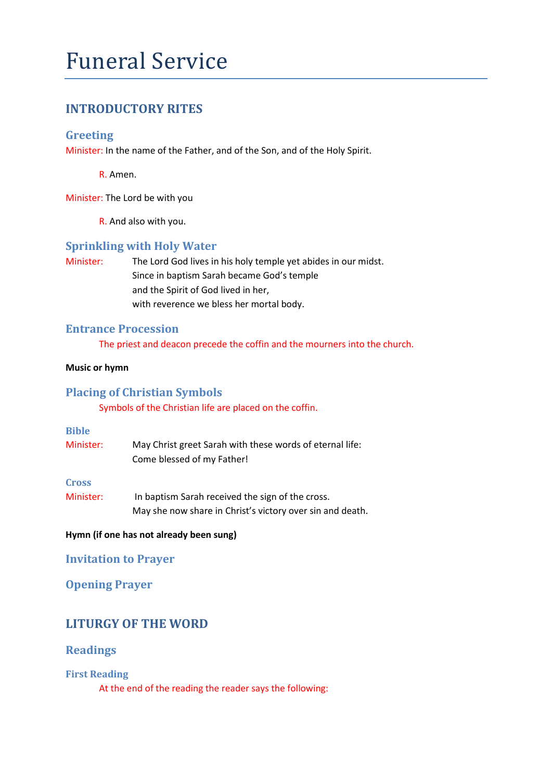# Funeral Service

# **INTRODUCTORY RITES**

## **Greeting**

Minister: In the name of the Father, and of the Son, and of the Holy Spirit.

R. Amen.

Minister: The Lord be with you

R. And also with you.

#### **Sprinkling with Holy Water**

Minister: The Lord God lives in his holy temple yet abides in our midst. Since in baptism Sarah became God's temple and the Spirit of God lived in her, with reverence we bless her mortal body.

### **Entrance Procession**

The priest and deacon precede the coffin and the mourners into the church.

#### **Music or hymn**

## **Placing of Christian Symbols**

Symbols of the Christian life are placed on the coffin.

#### **Bible**

| Minister: | May Christ greet Sarah with these words of eternal life: |
|-----------|----------------------------------------------------------|
|           | Come blessed of my Father!                               |

**Cross**

Minister: In baptism Sarah received the sign of the cross. May she now share in Christ's victory over sin and death.

#### **Hymn (if one has not already been sung)**

#### **Invitation to Prayer**

## **Opening Prayer**

# **LITURGY OF THE WORD**

## **Readings**

**First Reading** 

At the end of the reading the reader says the following: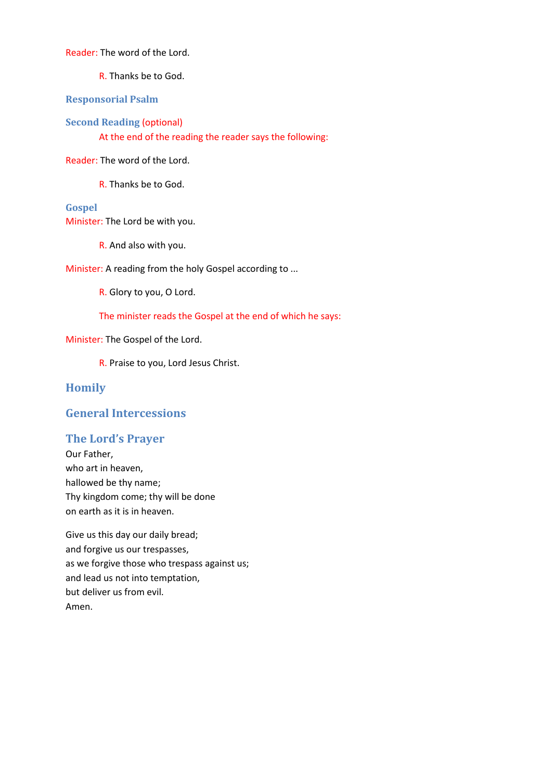Reader: The word of the Lord.

R. Thanks be to God.

**Responsorial Psalm**

**Second Reading** (optional)

At the end of the reading the reader says the following:

Reader: The word of the Lord.

R. Thanks be to God.

#### **Gospel**

Minister: The Lord be with you.

R. And also with you.

Minister: A reading from the holy Gospel according to ...

R. Glory to you, O Lord.

The minister reads the Gospel at the end of which he says:

Minister: The Gospel of the Lord.

R. Praise to you, Lord Jesus Christ.

#### **Homily**

## **General Intercessions**

#### **The Lord's Prayer**

Our Father, who art in heaven, hallowed be thy name; Thy kingdom come; thy will be done on earth as it is in heaven.

Give us this day our daily bread; and forgive us our trespasses, as we forgive those who trespass against us; and lead us not into temptation, but deliver us from evil. Amen.